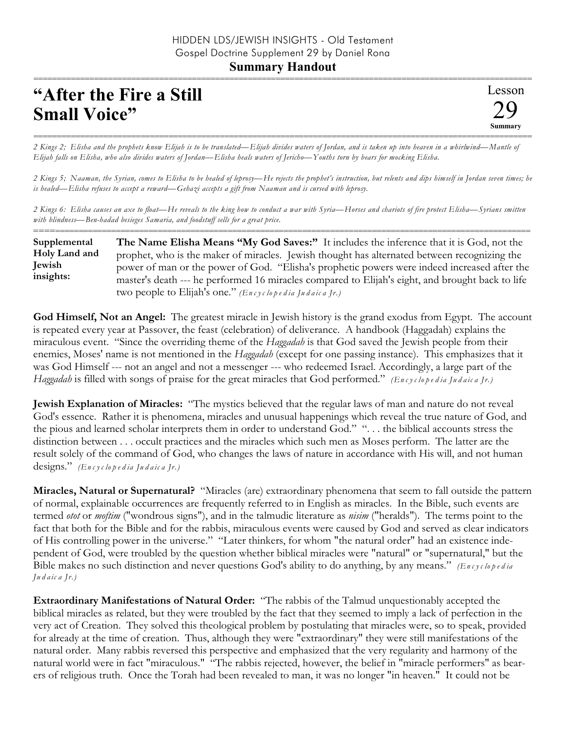**Summary Handout**

## **"After the Fire a Still Small Voice"**

Lesson 29 **Summary** ===========================================================================================================

=========================================================================================================== *2 Kings 2; Elisha and the prophets know Elijah is to be translated—Elijah divides waters of Jordan, and is taken up into heaven in a whirlwind—Mantle of Elijah falls on Elisha, who also divides waters of Jordan—Elisha heals waters of Jericho—Youths torn by bears for mocking Elisha.*

*2 Kings 5; Naaman, the Syrian, comes to Elisha to be healed of leprosy—He rejects the prophet's instruction, but relents and dips himself in Jordan seven times; he is healed—Elisha refuses to accept a reward—Gehazi accepts a gift from Naaman and is cursed with leprosy.*

*2 Kings 6: Elisha causes an axe to float—He reveals to the king how to conduct a war with Syria—Horses and chariots of fire protect Elisha—Syrians smitten with blindness—Ben-hadad besieges Samaria, and foodstuff sells for a great price.* ==========================================================================================================

**The Name Elisha Means "My God Saves:"** It includes the inference that it is God, not the prophet, who is the maker of miracles. Jewish thought has alternated between recognizing the power of man or the power of God. "Elisha's prophetic powers were indeed increased after the master's death --- he performed 16 miracles compared to Elijah's eight, and brought back to life two people to Elijah's one." *(En c y c lo p e d ia Ju d a ic a Jr.)* **Supplemental Holy Land and Jewish insights:**

**God Himself, Not an Angel:** The greatest miracle in Jewish history is the grand exodus from Egypt. The account is repeated every year at Passover, the feast (celebration) of deliverance. A handbook (Haggadah) explains the miraculous event. "Since the overriding theme of the *Haggadah* is that God saved the Jewish people from their enemies, Moses' name is not mentioned in the *Haggadah* (except for one passing instance). This emphasizes that it was God Himself --- not an angel and not a messenger --- who redeemed Israel. Accordingly, a large part of the *Haggadah* is filled with songs of praise for the great miracles that God performed." *(En c y c lo p e d ia Ju d a ic a Jr.)*

**Jewish Explanation of Miracles:** "The mystics believed that the regular laws of man and nature do not reveal God's essence. Rather it is phenomena, miracles and unusual happenings which reveal the true nature of God, and the pious and learned scholar interprets them in order to understand God." ". . . the biblical accounts stress the distinction between . . . occult practices and the miracles which such men as Moses perform. The latter are the result solely of the command of God, who changes the laws of nature in accordance with His will, and not human designs." *(En c y c lo p e d ia Ju d a ic a Jr.)*

**Miracles, Natural or Supernatural?** "Miracles (are) extraordinary phenomena that seem to fall outside the pattern of normal, explainable occurrences are frequently referred to in English as miracles. In the Bible, such events are termed *otot* or *moftim* ("wondrous signs"), and in the talmudic literature as *nisim* ("heralds"). The terms point to the fact that both for the Bible and for the rabbis, miraculous events were caused by God and served as clear indicators of His controlling power in the universe." "Later thinkers, for whom "the natural order" had an existence independent of God, were troubled by the question whether biblical miracles were "natural" or "supernatural," but the Bible makes no such distinction and never questions God's ability to do anything, by any means." *(En c y c lope d ia Ju d a ic a Jr.)*

**Extraordinary Manifestations of Natural Order:** "The rabbis of the Talmud unquestionably accepted the biblical miracles as related, but they were troubled by the fact that they seemed to imply a lack of perfection in the very act of Creation. They solved this theological problem by postulating that miracles were, so to speak, provided for already at the time of creation. Thus, although they were "extraordinary" they were still manifestations of the natural order. Many rabbis reversed this perspective and emphasized that the very regularity and harmony of the natural world were in fact "miraculous." "The rabbis rejected, however, the belief in "miracle performers" as bearers of religious truth. Once the Torah had been revealed to man, it was no longer "in heaven." It could not be